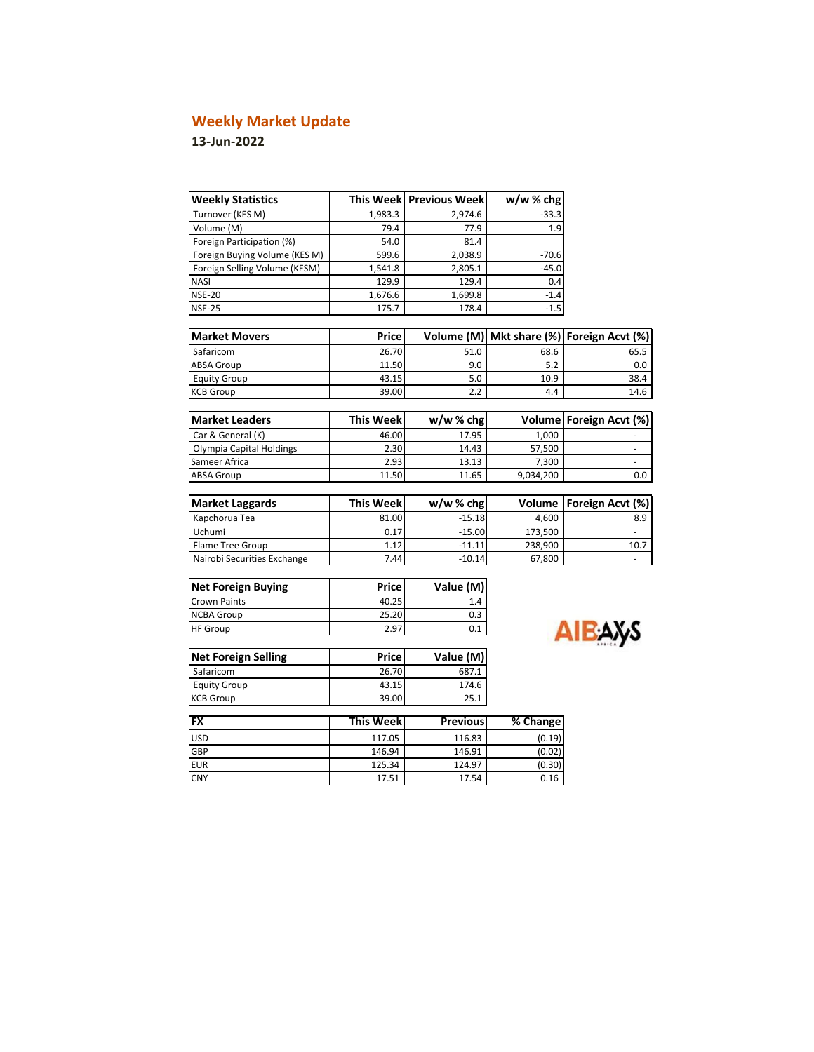# **Weekly Market Update**

## **13-Jun-2022**

r

| <b>Weekly Statistics</b>      |                  | This Week Previous Week | $w/w$ % chg |                                |
|-------------------------------|------------------|-------------------------|-------------|--------------------------------|
| Turnover (KES M)              | 1,983.3          | 2,974.6                 | $-33.3$     |                                |
| Volume (M)                    | 79.4             | 77.9                    | 1.9         |                                |
| Foreign Participation (%)     | 54.0             | 81.4                    |             |                                |
| Foreign Buying Volume (KES M) | 599.6            | 2,038.9                 | $-70.6$     |                                |
| Foreign Selling Volume (KESM) | 1,541.8          | 2,805.1                 | $-45.0$     |                                |
| <b>NASI</b>                   | 129.9            | 129.4                   | 0.4         |                                |
| <b>NSE-20</b>                 | 1,676.6          | 1,699.8                 | $-1.4$      |                                |
| <b>NSE-25</b>                 | 175.7            | 178.4                   | $-1.5$      |                                |
| <b>Market Movers</b>          | Price            | Volume (M)              |             | Mkt share (%) Foreign Acvt (%) |
| Safaricom                     | 26.70            | 51.0                    | 68.6        | 65.5                           |
| <b>ABSA Group</b>             | 11.50            | 9.0                     | 5.2         | 0.0                            |
| <b>Equity Group</b>           | 43.15            | 5.0                     | 10.9        | 38.4                           |
| <b>KCB Group</b>              | 39.00            | 2.2                     | 4.4         | 14.6                           |
|                               |                  |                         |             |                                |
| <b>Market Leaders</b>         | <b>This Week</b> | w/w%chg                 |             | Volume Foreign Acvt (%)        |
| Car & General (K)             | 46.00            | 17.95                   | 1,000       |                                |
| Olympia Capital Holdings      | 2.30             | 14.43                   | 57,500      |                                |
| Sameer Africa                 | 2.93             | 13.13                   | 7,300       |                                |
| <b>ABSA Group</b>             | 11.50            | 11.65                   | 9,034,200   | 0.0                            |
|                               |                  |                         |             |                                |
| <b>Market Laggards</b>        | <b>This Week</b> | $w/w$ % chg             | Volume      | Foreign Acvt (%)               |
| Kapchorua Tea                 | 81.00            | $-15.18$                | 4,600       | 8.9                            |
| Uchumi                        | 0.17             | $-15.00$                | 173,500     |                                |
| <b>Flame Tree Group</b>       | 1.12             | $-11.11$                | 238,900     | 10.7                           |
| Nairobi Securities Exchange   | 7.44             | $-10.14$                | 67,800      | ٠                              |
| <b>Net Foreign Buying</b>     | Price            | Value (M)               |             |                                |

| <b>Net Foreign Buying</b> | Price | Value (M) |
|---------------------------|-------|-----------|
| <b>Crown Paints</b>       | 40.25 | 1.4       |
| <b>NCBA Group</b>         | 25.20 | 0.3       |
| <b>HF Group</b>           | 2.97  |           |

| Ays |
|-----|
|     |

| <b>Net Foreign Selling</b> | Pricel | Value (M) |
|----------------------------|--------|-----------|
| Safaricom                  | 26.70  | 687.1     |
| <b>Equity Group</b>        | 43.15  | 174.6     |
| <b>KCB Group</b>           | 39.00  | 25.1      |

| <b>FX</b>  | <b>This Weekl</b> | <b>Previous</b> | % Change |
|------------|-------------------|-----------------|----------|
| <b>USD</b> | 117.05            | 116.83          | (0.19)   |
| GBP        | 146.94            | 146.91          | (0.02)   |
| <b>EUR</b> | 125.34            | 124.97          | (0.30)   |
| <b>CNY</b> | 17.51             | 17.54           | 0.16     |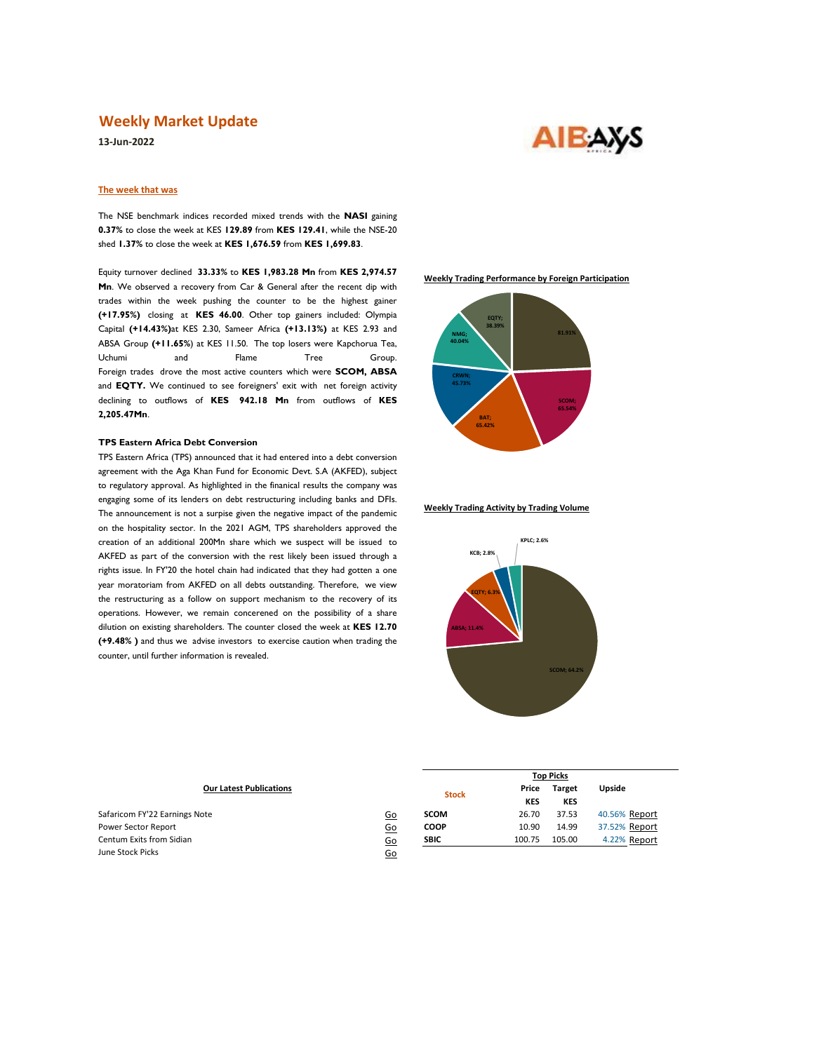### **Weekly Market Update**

**13-Jun-2022**

# **AIBAYS**

#### **The week that was**

The NSE benchmark indices recorded mixed trends with the **NASI** gaining **0.37%** to close the week at KES **129.89** from **KES 129.41**, while the NSE-20 shed **1.37%** to close the week at **KES 1,676.59** from **KES 1,699.83**.

Equity turnover declined **33.33%** to **KES 1,983.28 Mn** from **KES 2,974.57 Mn**. We observed a recovery from Car & General after the recent dip with trades within the week pushing the counter to be the highest gainer **(+17.95%)** closing at **KES 46.00**. Other top gainers included: Olympia Capital **(+14.43%)**at KES 2.30, Sameer Africa **(+13.13%)** at KES 2.93 and ABSA Group **(+11.65%**) at KES 11.50. The top losers were Kapchorua Tea, Uchumi and Flame Tree Group. Foreign trades drove the most active counters which were **SCOM, ABSA** and **EQTY.** We continued to see foreigners' exit with net foreign activity declining to outflows of **KES 942.18 Mn** from outflows of **KES 2,205.47Mn**.

#### **TPS Eastern Africa Debt Conversion**

TPS Eastern Africa (TPS) announced that it had entered into a debt conversion agreement with the Aga Khan Fund for Economic Devt. S.A (AKFED), subject to regulatory approval. As highlighted in the finanical results the company was engaging some of its lenders on debt restructuring including banks and DFIs. The announcement is not a surpise given the negative impact of the pandemic on the hospitality sector. In the 2021 AGM, TPS shareholders approved the creation of an additional 200Mn share which we suspect will be issued to AKFED as part of the conversion with the rest likely been issued through a rights issue. In FY'20 the hotel chain had indicated that they had gotten a one year moratoriam from AKFED on all debts outstanding. Therefore, we view the restructuring as a follow on support mechanism to the recovery of its operations. However, we remain concerened on the possibility of a share dilution on existing shareholders. The counter closed the week at **KES 12.70 (+9.48% )** and thus we advise investors to exercise caution when trading the counter, until further information is revealed.

**Weekly Trading Performance by Foreign Participation**



#### **Weekly Trading Activity by Trading Volume**



|                                |           | <b>Top Picks</b> |                     |                             |               |  |  |
|--------------------------------|-----------|------------------|---------------------|-----------------------------|---------------|--|--|
| <b>Our Latest Publications</b> |           | <b>Stock</b>     | Price<br><b>KES</b> | <b>Target</b><br><b>KES</b> | Upside        |  |  |
| Safaricom FY'22 Earnings Note  | <u>Go</u> | <b>SCOM</b>      | 26.70               | 37.53                       | 40.56% Report |  |  |
| Power Sector Report            | <u>Go</u> | <b>COOP</b>      | 10.90               | 14.99                       | 37.52% Report |  |  |
| Centum Exits from Sidian       | <u>Go</u> | <b>SBIC</b>      | 100.75              | 105.00                      | 4.22% Report  |  |  |
| June Stock Picks               | <u>Go</u> |                  |                     |                             |               |  |  |